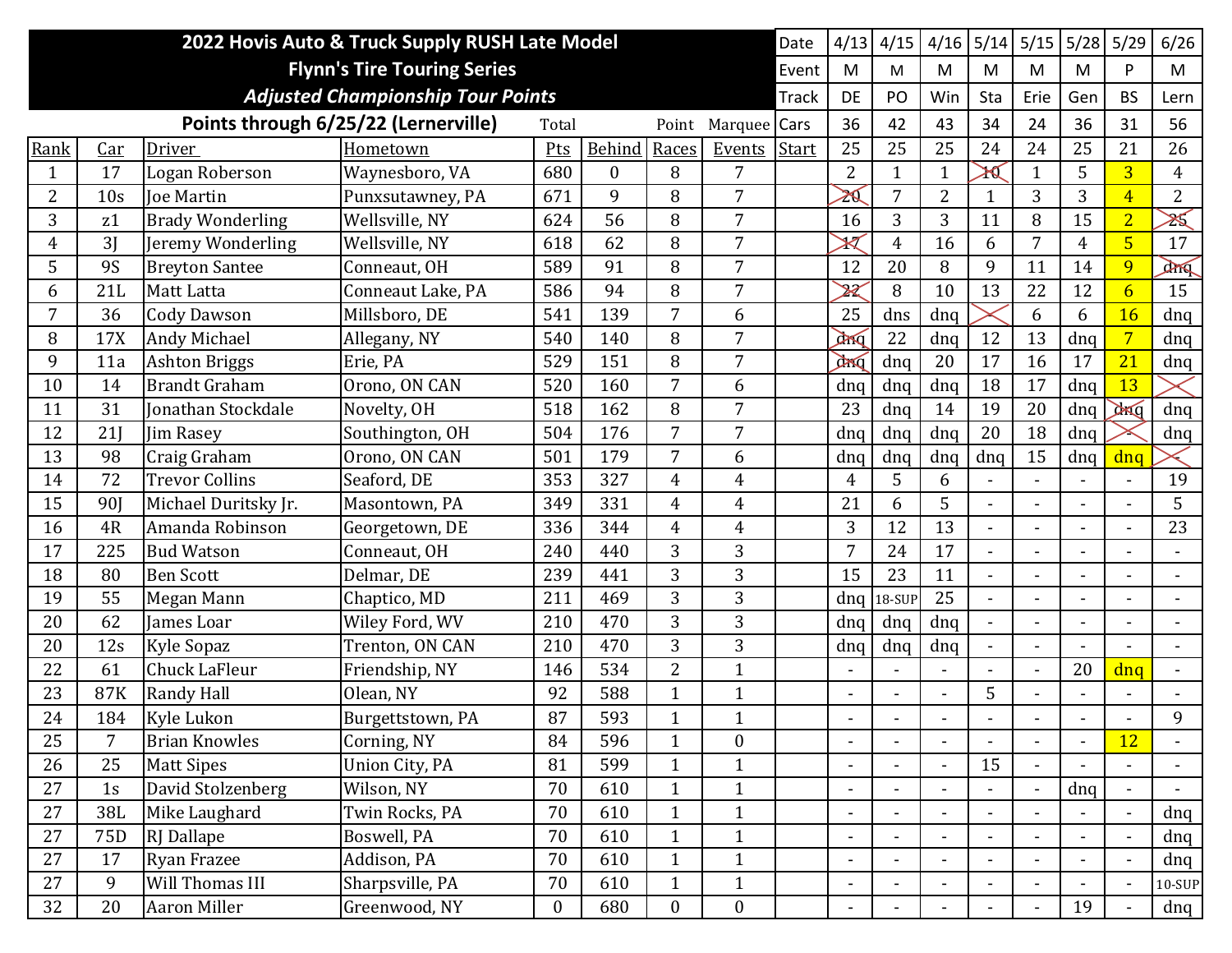|      | 2022 Hovis Auto & Truck Supply RUSH Late Model<br>Date |                         |                                          |                  |          |                  |                  |       |                          |                | 4/16                         | 5/14           | 5/15                     | 5/28           | 5/29                     | 6/26           |
|------|--------------------------------------------------------|-------------------------|------------------------------------------|------------------|----------|------------------|------------------|-------|--------------------------|----------------|------------------------------|----------------|--------------------------|----------------|--------------------------|----------------|
|      | <b>Flynn's Tire Touring Series</b>                     |                         |                                          |                  |          |                  |                  |       |                          |                | M                            | M              | M                        | M              | P                        | M              |
|      |                                                        |                         | <b>Adjusted Championship Tour Points</b> |                  |          |                  |                  | Track | <b>DE</b>                | PO             | Win                          | Sta            | Erie                     | Gen            | <b>BS</b>                | Lern           |
|      |                                                        |                         | Points through 6/25/22 (Lernerville)     | Total            |          | Point            | Marquee          | Cars  | 36                       | 42             | 43                           | 34             | 24                       | 36             | 31                       | 56             |
| Rank | Car                                                    | Driver                  | Hometown                                 | Pts              | Behind   | Races            | Events           | Start | 25                       | 25             | 25                           | 24             | 24                       | 25             | 21                       | 26             |
| 1    | 17                                                     | Logan Roberson          | Waynesboro, VA                           | 680              | $\theta$ | 8                | 7                |       | $\overline{2}$           | 1              | $\mathbf{1}$                 | ≯∢             | $\mathbf{1}$             | 5              | $\overline{3}$           | 4              |
| 2    | 10 <sub>s</sub>                                        | <b>Joe Martin</b>       | Punxsutawney, PA                         | 671              | 9        | 8                | $\overline{7}$   |       | ZQ                       | 7              | $\overline{2}$               | $\mathbf{1}$   | 3                        | 3              | $\overline{4}$           | $\overline{2}$ |
| 3    | z1                                                     | <b>Brady Wonderling</b> | Wellsville, NY                           | 624              | 56       | 8                | 7                |       | 16                       | 3              | 3                            | 11             | 8                        | 15             | $\overline{2}$           | X              |
| 4    | 3J                                                     | Jeremy Wonderling       | Wellsville, NY                           | 618              | 62       | 8                | 7                |       | $\rtimes$                | 4              | 16                           | 6              | $\overline{7}$           | 4              | $\overline{5}$           | 17             |
| 5    | <b>9S</b>                                              | <b>Breyton Santee</b>   | Conneaut, OH                             | 589              | 91       | 8                | 7                |       | 12                       | 20             | 8                            | 9              | 11                       | 14             | 9                        | 2000           |
| 6    | 21L                                                    | Matt Latta              | Conneaut Lake, PA                        | 586              | 94       | 8                | 7                |       | $\cancel{\mathcal{Z}}$   | 8              | 10                           | 13             | 22                       | 12             | $\overline{6}$           | 15             |
| 7    | 36                                                     | <b>Cody Dawson</b>      | Millsboro, DE                            | 541              | 139      | 7                | 6                |       | 25                       | dns            | dnq                          |                | 6                        | 6              | 16                       | dnq            |
| 8    | 17X                                                    | <b>Andy Michael</b>     | Allegany, NY                             | 540              | 140      | 8                | 7                |       | dong                     | 22             | dnq                          | 12             | 13                       | dnq            | $\overline{7}$           | dnq            |
| 9    | 11a                                                    | <b>Ashton Briggs</b>    | Erie, PA                                 | 529              | 151      | 8                | $\overline{7}$   |       | ang                      | dnq            | 20                           | 17             | 16                       | 17             | 21                       | dnq            |
| 10   | 14                                                     | <b>Brandt Graham</b>    | Orono, ON CAN                            | 520              | 160      | 7                | 6                |       | dnq                      | dnq            | dnq                          | 18             | 17                       | dnq            | 13                       |                |
| 11   | 31                                                     | Jonathan Stockdale      | Novelty, OH                              | 518              | 162      | 8                | 7                |       | 23                       | dnq            | 14                           | 19             | 20                       | dnq            | <b>DANG</b>              | dnq            |
| 12   | 21                                                     | Jim Rasey               | Southington, OH                          | 504              | 176      | 7                | $\overline{7}$   |       | dnq                      | dnq            | dnq                          | 20             | 18                       | dnq            |                          | dnq            |
| 13   | 98                                                     | Craig Graham            | Orono, ON CAN                            | 501              | 179      | 7                | 6                |       | dnq                      | dnq            | dnq                          | dnq            | 15                       | dnq            | dnq                      |                |
| 14   | 72                                                     | <b>Trevor Collins</b>   | Seaford, DE                              | 353              | 327      | 4                | $\overline{4}$   |       | $\overline{4}$           | 5              | 6                            | $\blacksquare$ | $\blacksquare$           |                | $\blacksquare$           | 19             |
| 15   | 90 <sub>I</sub>                                        | Michael Duritsky Jr.    | Masontown, PA                            | 349              | 331      | 4                | $\overline{4}$   |       | 21                       | 6              | 5                            |                |                          |                |                          | 5              |
| 16   | 4R                                                     | Amanda Robinson         | Georgetown, DE                           | 336              | 344      | 4                | $\overline{4}$   |       | 3                        | 12             | 13                           |                | $\blacksquare$           |                |                          | 23             |
| 17   | 225                                                    | <b>Bud Watson</b>       | Conneaut, OH                             | 240              | 440      | 3                | 3                |       | 7                        | 24             | 17                           |                | $\overline{\phantom{a}}$ |                |                          |                |
| 18   | 80                                                     | <b>Ben Scott</b>        | Delmar, DE                               | 239              | 441      | 3                | 3                |       | 15                       | 23             | 11                           |                | $\blacksquare$           |                | $\blacksquare$           |                |
| 19   | 55                                                     | Megan Mann              | Chaptico, MD                             | 211              | 469      | 3                | 3                |       | dnq                      | 18-SUP         | 25                           |                | $\blacksquare$           |                |                          |                |
| 20   | 62                                                     | James Loar              | Wiley Ford, WV                           | 210              | 470      | 3                | 3                |       | dnq                      | dnq            | dnq                          | $\blacksquare$ | $\blacksquare$           |                | $\overline{\phantom{0}}$ | $\blacksquare$ |
| 20   | 12s                                                    | Kyle Sopaz              | Trenton, ON CAN                          | 210              | 470      | 3                | 3                |       | dnq                      | dnq            | dnq                          | $\blacksquare$ | $\overline{\phantom{a}}$ |                |                          |                |
| 22   | 61                                                     | Chuck LaFleur           | Friendship, NY                           | 146              | 534      | 2                | $\mathbf{1}$     |       |                          |                |                              |                | $\overline{a}$           | 20             | dnq                      |                |
| 23   | 87K                                                    | <b>Randy Hall</b>       | Olean, NY                                | 92               | 588      | $\mathbf{1}$     | $\mathbf{1}$     |       | $\blacksquare$           |                | $\overline{a}$               | 5              |                          |                |                          |                |
| 24   | 184                                                    | <b>Kyle Lukon</b>       | Burgettstown, PA                         | 87               | 593      |                  | 1                |       |                          |                |                              |                |                          |                |                          | 9              |
| 25   | $\overline{7}$                                         | <b>Brian Knowles</b>    | Corning, NY                              | 84               | 596      | $\mathbf{1}$     | $\boldsymbol{0}$ |       | $\overline{\phantom{a}}$ | $\blacksquare$ | $\blacksquare$               | $\blacksquare$ | $\overline{\phantom{a}}$ | $\blacksquare$ | <b>12</b>                | $\blacksquare$ |
| 26   | 25                                                     | <b>Matt Sipes</b>       | Union City, PA                           | 81               | 599      | $\mathbf{1}$     | $\mathbf{1}$     |       | $\overline{\phantom{a}}$ |                | $\blacksquare$               | 15             |                          |                |                          |                |
| 27   | 1s                                                     | David Stolzenberg       | Wilson, NY                               | 70               | 610      | $\mathbf{1}$     | $\mathbf{1}$     |       | $\overline{\phantom{a}}$ |                | $\blacksquare$               |                | $\blacksquare$           | dnq            | $\blacksquare$           |                |
| 27   | 38L                                                    | Mike Laughard           | Twin Rocks, PA                           | 70               | 610      | $\mathbf{1}$     | $\mathbf{1}$     |       | $\overline{\phantom{a}}$ |                |                              |                | $\overline{\phantom{a}}$ |                | $\blacksquare$           | dnq            |
| 27   | 75D                                                    | <b>RJ</b> Dallape       | Boswell, PA                              | 70               | 610      | $\mathbf{1}$     | $\mathbf{1}$     |       | $\overline{\phantom{a}}$ | $\blacksquare$ | $\blacksquare$               |                | $\blacksquare$           |                | $\blacksquare$           | dnq            |
| 27   | 17                                                     | <b>Ryan Frazee</b>      | Addison, PA                              | 70               | 610      | $\mathbf{1}$     | $\mathbf{1}$     |       | $\blacksquare$           | $\blacksquare$ | $\blacksquare$               | $\blacksquare$ | $\blacksquare$           |                | $\blacksquare$           | dnq            |
| 27   | 9                                                      | Will Thomas III         | Sharpsville, PA                          | 70               | 610      | $\mathbf{1}$     | $\mathbf{1}$     |       | $\blacksquare$           |                | $\blacksquare$               |                | $\blacksquare$           |                | $\overline{\phantom{a}}$ | 10-SUP         |
| 32   | 20                                                     | Aaron Miller            | Greenwood, NY                            | $\boldsymbol{0}$ | 680      | $\boldsymbol{0}$ | $\boldsymbol{0}$ |       | $\overline{\phantom{a}}$ |                | $\qquad \qquad \blacksquare$ |                | $\overline{\phantom{a}}$ | 19             |                          | dnq            |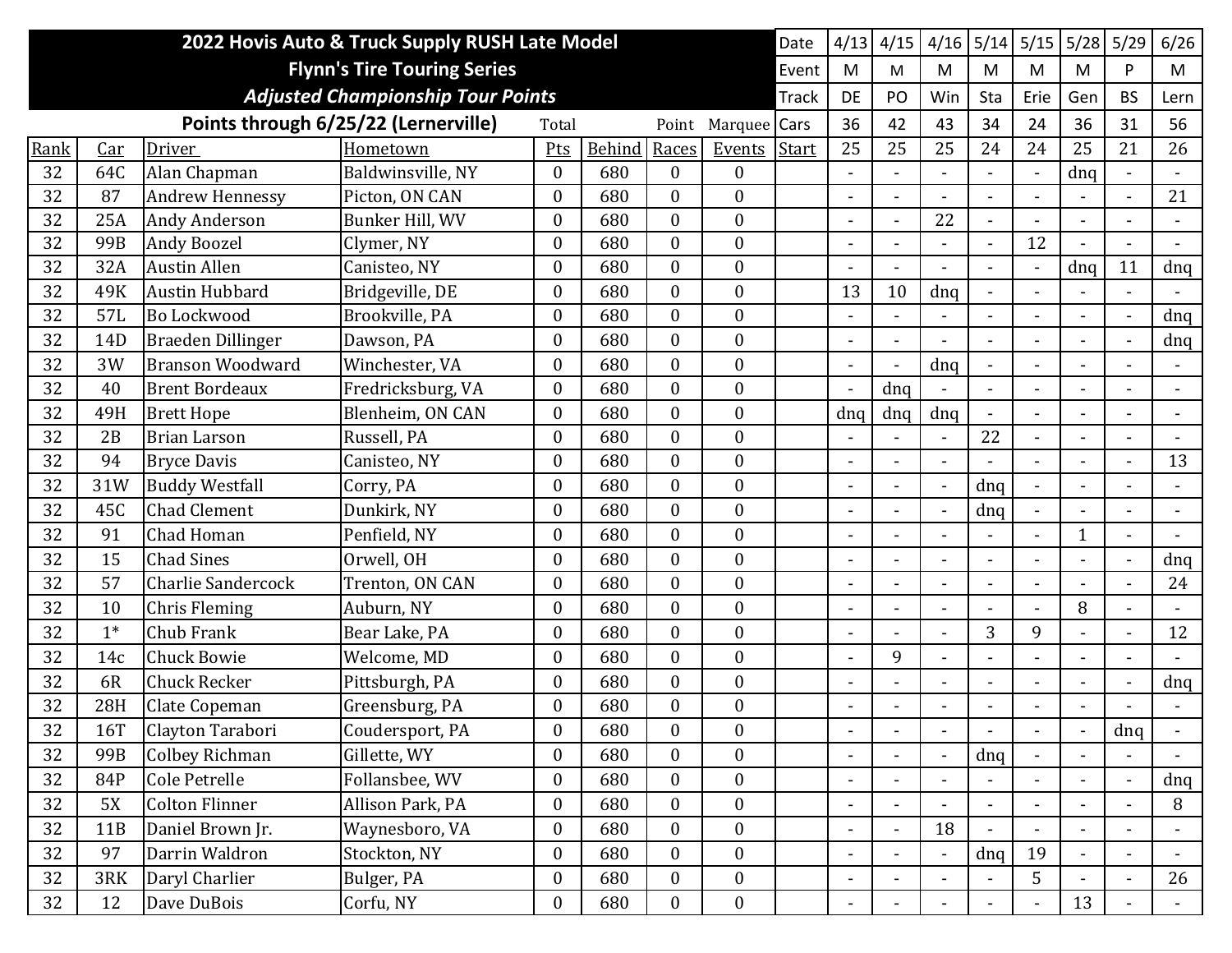|      | 2022 Hovis Auto & Truck Supply RUSH Late Model<br>Date |                           |                                          |                  |        |                  |                  |              |                          |                          | 4/16                     | 5/14                     | 5/15           | 5/28           | 5/29                     | 6/26           |
|------|--------------------------------------------------------|---------------------------|------------------------------------------|------------------|--------|------------------|------------------|--------------|--------------------------|--------------------------|--------------------------|--------------------------|----------------|----------------|--------------------------|----------------|
|      |                                                        |                           | <b>Flynn's Tire Touring Series</b>       |                  |        |                  |                  | Event        | M                        | M                        | M                        | M                        | M              | M              | P                        | M              |
|      |                                                        |                           | <b>Adjusted Championship Tour Points</b> |                  |        |                  |                  | <b>Track</b> | DE                       | PO                       | Win                      | Sta                      | Erie           | Gen            | <b>BS</b>                | Lern           |
|      |                                                        |                           | Points through 6/25/22 (Lernerville)     | Total            |        | Point            | Marquee Cars     |              | 36                       | 42                       | 43                       | 34                       | 24             | 36             | 31                       | 56             |
| Rank | Car                                                    | Driver                    | Hometown                                 | Pts              | Behind | Races            | Events           | Start        | 25                       | 25                       | 25                       | 24                       | 24             | 25             | 21                       | 26             |
| 32   | 64C                                                    | Alan Chapman              | Baldwinsville, NY                        | $\boldsymbol{0}$ | 680    | $\boldsymbol{0}$ | $\boldsymbol{0}$ |              |                          |                          |                          | $\blacksquare$           | $\blacksquare$ | dnq            | $\blacksquare$           |                |
| 32   | 87                                                     | <b>Andrew Hennessy</b>    | Picton, ON CAN                           | $\boldsymbol{0}$ | 680    | $\overline{0}$   | $\boldsymbol{0}$ |              |                          |                          |                          |                          |                |                |                          | 21             |
| 32   | 25A                                                    | <b>Andy Anderson</b>      | Bunker Hill, WV                          | $\mathbf{0}$     | 680    | $\overline{0}$   | $\mathbf{0}$     |              |                          |                          | 22                       |                          |                |                |                          |                |
| 32   | 99B                                                    | Andy Boozel               | Clymer, NY                               | $\theta$         | 680    | $\overline{0}$   | $\boldsymbol{0}$ |              |                          |                          |                          |                          | 12             |                |                          |                |
| 32   | 32A                                                    | <b>Austin Allen</b>       | Canisteo, NY                             | $\theta$         | 680    | $\overline{0}$   | $\mathbf{0}$     |              |                          |                          |                          |                          | $\blacksquare$ | dnq            | 11                       | dnq            |
| 32   | 49K                                                    | <b>Austin Hubbard</b>     | Bridgeville, DE                          | $\overline{0}$   | 680    | $\overline{0}$   | $\mathbf{0}$     |              | 13                       | 10                       | dnq                      | $\blacksquare$           | $\overline{a}$ |                | $\blacksquare$           |                |
| 32   | 57L                                                    | Bo Lockwood               | Brookville, PA                           | $\overline{0}$   | 680    | $\overline{0}$   | $\mathbf{0}$     |              |                          |                          |                          |                          | $\overline{a}$ |                | $\blacksquare$           | dnq            |
| 32   | 14D                                                    | <b>Braeden Dillinger</b>  | Dawson, PA                               | $\boldsymbol{0}$ | 680    | $\boldsymbol{0}$ | $\boldsymbol{0}$ |              | $\blacksquare$           |                          |                          |                          |                |                | $\blacksquare$           | dnq            |
| 32   | 3W                                                     | <b>Branson Woodward</b>   | Winchester, VA                           | $\overline{0}$   | 680    | $\overline{0}$   | $\boldsymbol{0}$ |              |                          |                          | dnq                      |                          |                |                |                          |                |
| 32   | 40                                                     | <b>Brent Bordeaux</b>     | Fredricksburg, VA                        | $\mathbf{0}$     | 680    | $\overline{0}$   | $\mathbf{0}$     |              | $\blacksquare$           | dnq                      |                          |                          | $\overline{a}$ |                |                          |                |
| 32   | 49H                                                    | <b>Brett Hope</b>         | Blenheim, ON CAN                         | $\mathbf{0}$     | 680    | $\overline{0}$   | $\mathbf{0}$     |              | dnq                      | dnq                      | dnq                      | $\blacksquare$           | $\blacksquare$ |                | $\blacksquare$           | $\sim$         |
| 32   | 2B                                                     | <b>Brian Larson</b>       | Russell, PA                              | $\overline{0}$   | 680    | $\overline{0}$   | $\boldsymbol{0}$ |              |                          |                          |                          | 22                       | $\overline{a}$ |                |                          |                |
| 32   | 94                                                     | <b>Bryce Davis</b>        | Canisteo, NY                             | $\boldsymbol{0}$ | 680    | $\overline{0}$   | $\boldsymbol{0}$ |              | $\blacksquare$           |                          | $\blacksquare$           |                          | $\overline{a}$ |                |                          | 13             |
| 32   | 31W                                                    | <b>Buddy Westfall</b>     | Corry, PA                                | $\overline{0}$   | 680    | $\overline{0}$   | $\boldsymbol{0}$ |              |                          |                          | $\overline{\phantom{a}}$ | dnq                      | $\overline{a}$ |                |                          |                |
| 32   | 45C                                                    | <b>Chad Clement</b>       | Dunkirk, NY                              | $\mathbf{0}$     | 680    | $\overline{0}$   | $\theta$         |              | $\blacksquare$           |                          | $\blacksquare$           | dnq                      | $\blacksquare$ |                |                          |                |
| 32   | 91                                                     | Chad Homan                | Penfield, NY                             | $\overline{0}$   | 680    | $\overline{0}$   | $\boldsymbol{0}$ |              | $\blacksquare$           |                          | $\blacksquare$           | $\overline{\phantom{0}}$ | $\overline{a}$ | 1              | $\blacksquare$           |                |
| 32   | 15                                                     | <b>Chad Sines</b>         | Orwell, OH                               | $\overline{0}$   | 680    | $\boldsymbol{0}$ | $\boldsymbol{0}$ |              |                          |                          |                          | $\overline{\phantom{0}}$ |                |                | $\blacksquare$           | dnq            |
| 32   | 57                                                     | <b>Charlie Sandercock</b> | Trenton, ON CAN                          | $\mathbf{0}$     | 680    | $\overline{0}$   | $\boldsymbol{0}$ |              |                          |                          |                          |                          | $\overline{a}$ |                |                          | 24             |
| 32   | 10                                                     | <b>Chris Fleming</b>      | Auburn, NY                               | $\overline{0}$   | 680    | $\overline{0}$   | $\boldsymbol{0}$ |              |                          |                          |                          |                          |                | 8              |                          |                |
| 32   | $1*$                                                   | Chub Frank                | Bear Lake, PA                            | $\overline{0}$   | 680    | $\overline{0}$   | $\mathbf{0}$     |              |                          |                          |                          | 3                        | 9              |                | $\blacksquare$           | 12             |
| 32   | 14c                                                    | <b>Chuck Bowie</b>        | Welcome, MD                              | $\overline{0}$   | 680    | $\overline{0}$   | $\boldsymbol{0}$ |              |                          | 9                        | $\blacksquare$           |                          |                |                |                          |                |
| 32   | 6R                                                     | <b>Chuck Recker</b>       | Pittsburgh, PA                           | $\boldsymbol{0}$ | 680    | $\boldsymbol{0}$ | $\boldsymbol{0}$ |              |                          |                          |                          |                          | $\overline{a}$ |                |                          | dnq            |
| 32   | 28H                                                    | Clate Copeman             | Greensburg, PA                           | $\boldsymbol{0}$ | 680    | $\boldsymbol{0}$ | $\boldsymbol{0}$ |              |                          |                          |                          |                          |                |                |                          |                |
| 32   | 16T                                                    | Clayton Tarabori          | Coudersport, PA                          | $\boldsymbol{0}$ | 680    | $\boldsymbol{0}$ | $\boldsymbol{0}$ |              | $\blacksquare$           | $\blacksquare$           | $\blacksquare$           | $\blacksquare$           | $\blacksquare$ | $\blacksquare$ | dnq                      | $\blacksquare$ |
| 32   | 99B                                                    | <b>Colbey Richman</b>     | Gillette, WY                             | $\boldsymbol{0}$ | 680    | $\boldsymbol{0}$ | $\mathbf{0}$     |              |                          |                          |                          | dnq                      |                |                |                          |                |
| 32   | 84P                                                    | Cole Petrelle             | Follansbee, WV                           | $\bf{0}$         | 680    | $\boldsymbol{0}$ | $\mathbf{0}$     |              | $\blacksquare$           |                          |                          |                          | $\overline{a}$ |                | $\blacksquare$           | dnq            |
| 32   | 5X                                                     | <b>Colton Flinner</b>     | Allison Park, PA                         | $\boldsymbol{0}$ | 680    | $\boldsymbol{0}$ | $\boldsymbol{0}$ |              | $\overline{\phantom{a}}$ | $\overline{\phantom{a}}$ | $\overline{\phantom{a}}$ | $\blacksquare$           | $\blacksquare$ |                | $\blacksquare$           | 8              |
| 32   | 11B                                                    | Daniel Brown Jr.          | Waynesboro, VA                           | $\boldsymbol{0}$ | 680    | $\boldsymbol{0}$ | $\mathbf{0}$     |              |                          |                          | 18                       |                          |                |                |                          |                |
| 32   | 97                                                     | Darrin Waldron            | Stockton, NY                             | $\boldsymbol{0}$ | 680    | $\overline{0}$   | $\boldsymbol{0}$ |              | $\blacksquare$           | $\blacksquare$           | $\blacksquare$           | dnq                      | 19             |                | $\blacksquare$           |                |
| 32   | 3RK                                                    | Daryl Charlier            | Bulger, PA                               | $\boldsymbol{0}$ | 680    | $\boldsymbol{0}$ | $\boldsymbol{0}$ |              | $\blacksquare$           | $\overline{\phantom{a}}$ | $\overline{\phantom{a}}$ | $\blacksquare$           | 5              |                | $\overline{\phantom{a}}$ | 26             |
| 32   | 12                                                     | Dave DuBois               | Corfu, NY                                | $\boldsymbol{0}$ | 680    | $\boldsymbol{0}$ | $\boldsymbol{0}$ |              | $\blacksquare$           |                          | $\blacksquare$           |                          | $\blacksquare$ | 13             |                          | $\sim$         |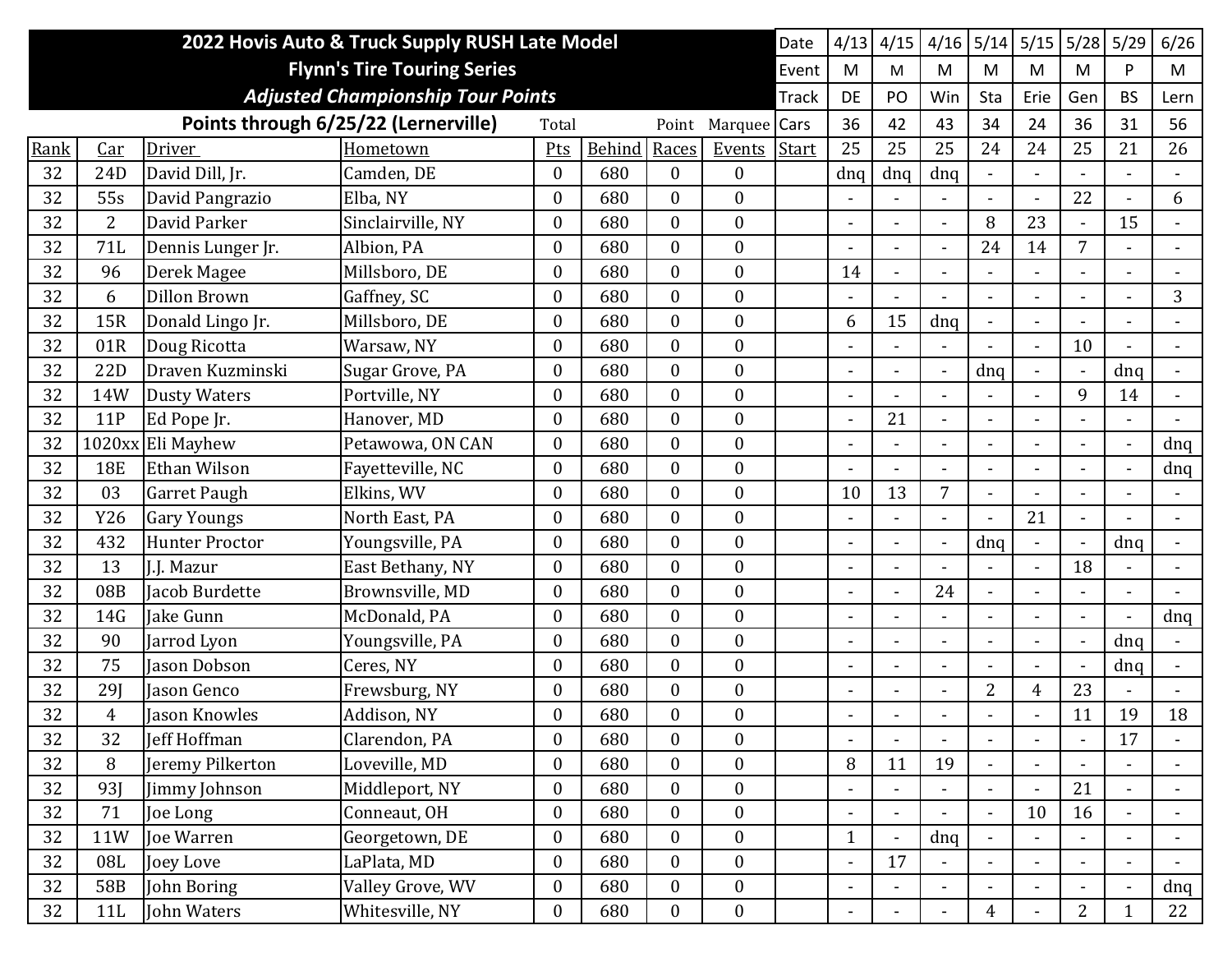|      | 2022 Hovis Auto & Truck Supply RUSH Late Model<br>Date |                       |                                          |                  |        |                  |                  |              |                          |                              | 4/16                     | 5/14                         | 5/15                         | 5/28           | 5/29                     | 6/26           |
|------|--------------------------------------------------------|-----------------------|------------------------------------------|------------------|--------|------------------|------------------|--------------|--------------------------|------------------------------|--------------------------|------------------------------|------------------------------|----------------|--------------------------|----------------|
|      |                                                        |                       | <b>Flynn's Tire Touring Series</b>       |                  |        |                  |                  | Event        | M                        | M                            | M                        | M                            | M                            | M              | P                        | M              |
|      |                                                        |                       | <b>Adjusted Championship Tour Points</b> |                  |        |                  |                  | <b>Track</b> | DE                       | PO                           | Win                      | Sta                          | Erie                         | Gen            | <b>BS</b>                | Lern           |
|      |                                                        |                       | Points through 6/25/22 (Lernerville)     | Total            |        | Point            | Marquee          | Cars         | 36                       | 42                           | 43                       | 34                           | 24                           | 36             | 31                       | 56             |
| Rank | Car                                                    | Driver                | Hometown                                 | Pts              | Behind | Races            | Events           | Start        | 25                       | 25                           | 25                       | 24                           | 24                           | 25             | 21                       | 26             |
| 32   | 24D                                                    | David Dill, Jr.       | Camden, DE                               | $\boldsymbol{0}$ | 680    | $\overline{0}$   | $\mathbf{0}$     |              | dnq                      | dnq                          | dnq                      | $\blacksquare$               |                              |                |                          |                |
| 32   | 55s                                                    | David Pangrazio       | Elba, NY                                 | $\overline{0}$   | 680    | $\boldsymbol{0}$ | $\boldsymbol{0}$ |              | $\overline{\phantom{a}}$ | Ē,                           | $\overline{\phantom{a}}$ | $\blacksquare$               | $\blacksquare$               | 22             |                          | 6              |
| 32   | $\overline{2}$                                         | David Parker          | Sinclairville, NY                        | $\boldsymbol{0}$ | 680    | $\boldsymbol{0}$ | $\boldsymbol{0}$ |              |                          |                              | $\overline{\phantom{0}}$ | 8                            | 23                           |                | 15                       |                |
| 32   | 71L                                                    | Dennis Lunger Jr.     | Albion, PA                               | $\mathbf{0}$     | 680    | $\overline{0}$   | $\mathbf{0}$     |              |                          |                              | $\blacksquare$           | 24                           | 14                           | $\overline{7}$ |                          |                |
| 32   | 96                                                     | Derek Magee           | Millsboro, DE                            | $\mathbf{0}$     | 680    | $\overline{0}$   | $\boldsymbol{0}$ |              | 14                       |                              | $\overline{\phantom{a}}$ | $\qquad \qquad \blacksquare$ | $\overline{\phantom{0}}$     |                | $\overline{\phantom{a}}$ |                |
| 32   | 6                                                      | Dillon Brown          | Gaffney, SC                              | $\overline{0}$   | 680    | $\overline{0}$   | $\mathbf{0}$     |              |                          |                              |                          |                              |                              |                |                          | 3              |
| 32   | 15R                                                    | Donald Lingo Jr.      | Millsboro, DE                            | $\boldsymbol{0}$ | 680    | $\overline{0}$   | $\boldsymbol{0}$ |              | 6                        | 15                           | dnq                      | $\blacksquare$               | $\blacksquare$               |                | $\overline{\phantom{a}}$ |                |
| 32   | 01R                                                    | Doug Ricotta          | Warsaw, NY                               | $\mathbf{0}$     | 680    | $\overline{0}$   | $\boldsymbol{0}$ |              |                          |                              |                          |                              | $\blacksquare$               | 10             |                          |                |
| 32   | 22D                                                    | Draven Kuzminski      | Sugar Grove, PA                          | $\mathbf{0}$     | 680    | $\overline{0}$   | $\mathbf{0}$     |              | $\blacksquare$           |                              | $\overline{\phantom{a}}$ | dnq                          | $\overline{\phantom{a}}$     | $\blacksquare$ | dnq                      |                |
| 32   | 14W                                                    | <b>Dusty Waters</b>   | Portville, NY                            | $\overline{0}$   | 680    | $\overline{0}$   | $\boldsymbol{0}$ |              | $\overline{\phantom{a}}$ |                              | $\blacksquare$           |                              |                              | 9              | 14                       |                |
| 32   | 11P                                                    | Ed Pope Jr.           | Hanover, MD                              | $\overline{0}$   | 680    | $\overline{0}$   | $\boldsymbol{0}$ |              |                          | 21                           |                          |                              |                              |                |                          |                |
| 32   |                                                        | 1020xx Eli Mayhew     | Petawowa, ON CAN                         | $\theta$         | 680    | $\overline{0}$   | $\mathbf{0}$     |              |                          |                              | $\blacksquare$           |                              | $\blacksquare$               |                | $\overline{\phantom{a}}$ | dnq            |
| 32   | <b>18E</b>                                             | Ethan Wilson          | Favetteville, NC                         | $\overline{0}$   | 680    | $\overline{0}$   | $\mathbf{0}$     |              |                          |                              | $\overline{a}$           | $\blacksquare$               | $\overline{a}$               |                | $\blacksquare$           | dnq            |
| 32   | 03                                                     | <b>Garret Paugh</b>   | Elkins, WV                               | $\overline{0}$   | 680    | $\overline{0}$   | $\boldsymbol{0}$ |              | 10                       | 13                           | 7                        |                              |                              |                |                          |                |
| 32   | Y26                                                    | <b>Gary Youngs</b>    | North East, PA                           | $\mathbf{0}$     | 680    | $\boldsymbol{0}$ | $\boldsymbol{0}$ |              | $\blacksquare$           |                              | $\blacksquare$           |                              | 21                           |                |                          |                |
| 32   | 432                                                    | <b>Hunter Proctor</b> | Youngsville, PA                          | $\boldsymbol{0}$ | 680    | $\overline{0}$   | $\boldsymbol{0}$ |              | $\overline{\phantom{a}}$ | $\blacksquare$               | $\blacksquare$           | dnq                          | $\overline{\phantom{a}}$     | $\blacksquare$ | dnq                      |                |
| 32   | 13                                                     | J.J. Mazur            | East Bethany, NY                         | $\mathbf{0}$     | 680    | $\overline{0}$   | $\mathbf{0}$     |              |                          |                              |                          |                              | $\blacksquare$               | 18             |                          |                |
| 32   | 08B                                                    | Jacob Burdette        | Brownsville, MD                          | $\boldsymbol{0}$ | 680    | $\boldsymbol{0}$ | $\boldsymbol{0}$ |              | $\overline{\phantom{a}}$ | $\qquad \qquad \blacksquare$ | 24                       | $\blacksquare$               | $\blacksquare$               |                | $\overline{\phantom{a}}$ |                |
| 32   | 14G                                                    | Jake Gunn             | McDonald, PA                             | $\overline{0}$   | 680    | $\overline{0}$   | $\boldsymbol{0}$ |              | $\blacksquare$           |                              | $\blacksquare$           | $\blacksquare$               | $\overline{a}$               |                | $\blacksquare$           | dnq            |
| 32   | 90                                                     | Jarrod Lyon           | Youngsville, PA                          | $\overline{0}$   | 680    | $\overline{0}$   | $\mathbf{0}$     |              |                          |                              | $\blacksquare$           | $\overline{\phantom{0}}$     | $\blacksquare$               | $\blacksquare$ | dnq                      |                |
| 32   | 75                                                     | Jason Dobson          | Ceres, NY                                | $\boldsymbol{0}$ | 680    | $\boldsymbol{0}$ | $\boldsymbol{0}$ |              | $\blacksquare$           |                              | $\blacksquare$           | $\blacksquare$               | $\blacksquare$               | $\blacksquare$ | dnq                      |                |
| 32   | 29]                                                    | Jason Genco           | Frewsburg, NY                            | $\boldsymbol{0}$ | 680    | $\boldsymbol{0}$ | $\boldsymbol{0}$ |              |                          |                              |                          | 2                            | 4                            | 23             |                          |                |
| 32   | 4                                                      | Jason Knowles         | Addison, NY                              | $\mathbf{0}$     | 680    | $\overline{0}$   | $\boldsymbol{0}$ |              |                          |                              |                          |                              |                              | 11             | 19                       | 18             |
| 32   | 32                                                     | Jeff Hoffman          | Clarendon, PA                            | $\boldsymbol{0}$ | 680    | $\boldsymbol{0}$ | $\boldsymbol{0}$ |              | $\overline{\phantom{a}}$ | $\overline{\phantom{a}}$     | $\overline{\phantom{a}}$ | $\overline{\phantom{a}}$     | $\blacksquare$               | $\blacksquare$ | 17                       | $\blacksquare$ |
| 32   | 8                                                      | Jeremy Pilkerton      | Loveville, MD                            | $\boldsymbol{0}$ | 680    | $\mathbf{0}$     | $\boldsymbol{0}$ |              | $\, 8$                   | 11                           | 19                       |                              |                              |                |                          |                |
| 32   | <b>93J</b>                                             | Jimmy Johnson         | Middleport, NY                           | $\boldsymbol{0}$ | 680    | $\overline{0}$   | $\boldsymbol{0}$ |              | $\overline{\phantom{a}}$ | $\blacksquare$               | $\blacksquare$           | $\blacksquare$               | $\blacksquare$               | 21             | $\blacksquare$           | $\blacksquare$ |
| 32   | 71                                                     | Joe Long              | Conneaut, OH                             | $\boldsymbol{0}$ | 680    | $\boldsymbol{0}$ | $\boldsymbol{0}$ |              | $\blacksquare$           | $\blacksquare$               | $\blacksquare$           | $\blacksquare$               | 10                           | 16             | $\blacksquare$           | $\blacksquare$ |
| 32   | 11W                                                    | Joe Warren            | Georgetown, DE                           | $\boldsymbol{0}$ | 680    | $\overline{0}$   | $\mathbf{0}$     |              | $\mathbf{1}$             |                              | dnq                      |                              | $\mathbf{r}$                 |                |                          |                |
| 32   | 08L                                                    | Joey Love             | LaPlata, MD                              | $\boldsymbol{0}$ | 680    | $\overline{0}$   | $\boldsymbol{0}$ |              | $\blacksquare$           | 17                           | $\blacksquare$           | $\blacksquare$               | $\blacksquare$               |                | $\blacksquare$           |                |
| 32   | 58B                                                    | John Boring           | Valley Grove, WV                         | $\boldsymbol{0}$ | 680    | $\boldsymbol{0}$ | $\boldsymbol{0}$ |              | $\overline{\phantom{a}}$ |                              | $\blacksquare$           |                              | $\qquad \qquad \blacksquare$ |                | $\blacksquare$           | dnq            |
| 32   | 11L                                                    | John Waters           | Whitesville, NY                          | $\boldsymbol{0}$ | 680    | $\boldsymbol{0}$ | $\boldsymbol{0}$ |              | $\blacksquare$           |                              | $\blacksquare$           | $\overline{4}$               | $\blacksquare$               | $\overline{2}$ | $\mathbf{1}$             | 22             |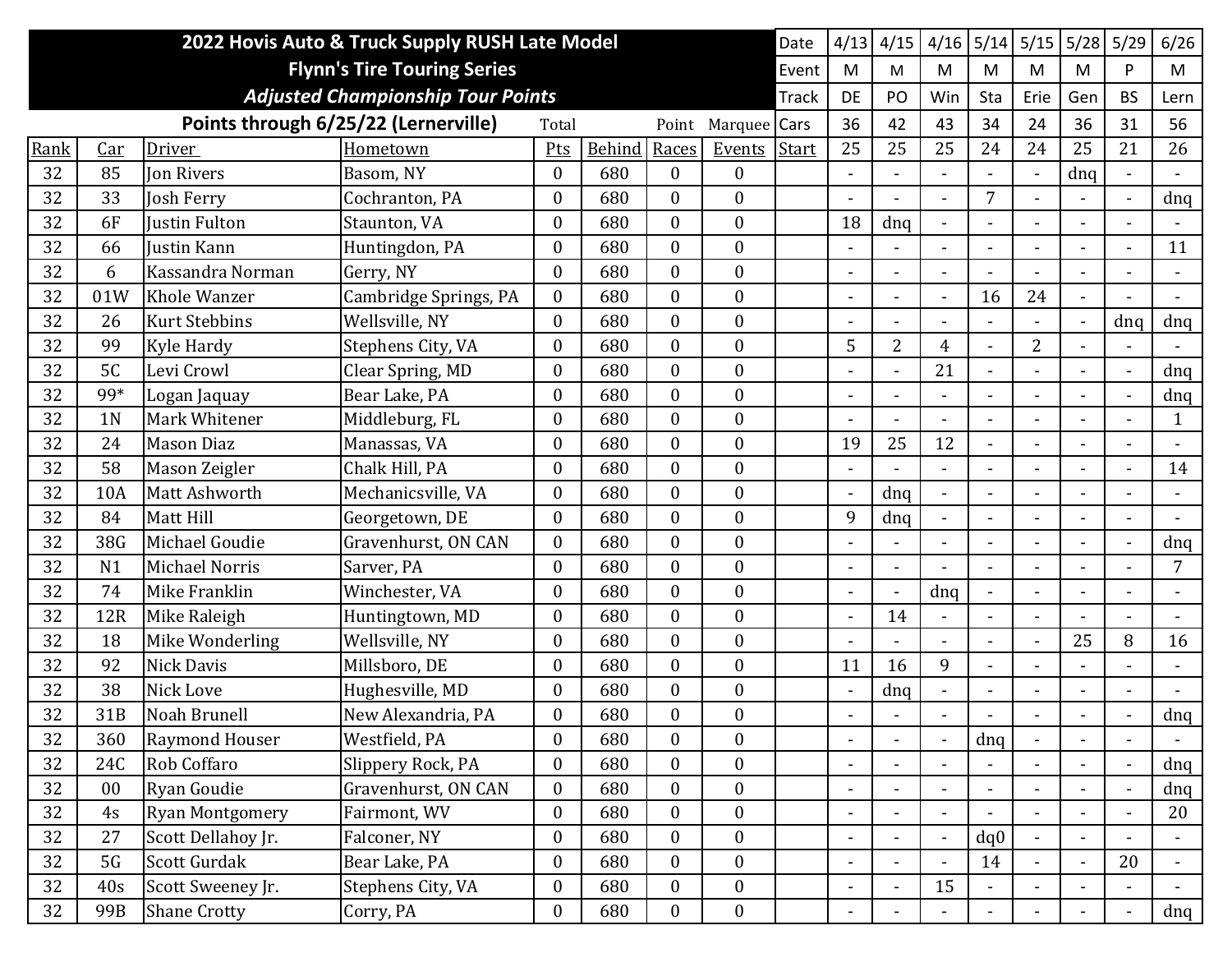|      | 2022 Hovis Auto & Truck Supply RUSH Late Model |                        |                                          |                  |        |                  |                  |              |                          | 4/15                     | 4/16                         | 5/14           | 5/15           | 5/28                     | 5/29           | 6/26           |
|------|------------------------------------------------|------------------------|------------------------------------------|------------------|--------|------------------|------------------|--------------|--------------------------|--------------------------|------------------------------|----------------|----------------|--------------------------|----------------|----------------|
|      | <b>Flynn's Tire Touring Series</b>             |                        |                                          |                  |        |                  |                  |              |                          | M                        | M                            | M              | M              | M                        | P.             | M              |
|      |                                                |                        | <b>Adjusted Championship Tour Points</b> |                  |        |                  |                  | <b>Track</b> | DE                       | PO                       | Win                          | Sta            | Erie           | Gen                      | <b>BS</b>      | Lern           |
|      |                                                |                        | Points through 6/25/22 (Lernerville)     | Total            |        | Point            | Marquee Cars     |              | 36                       | 42                       | 43                           | 34             | 24             | 36                       | 31             | 56             |
| Rank | Car                                            | Driver                 | Hometown                                 | Pts              | Behind | Races            | Events           | Start        | 25                       | 25                       | 25                           | 24             | 24             | 25                       | 21             | 26             |
| 32   | 85                                             | <b>Jon Rivers</b>      | Basom, NY                                | $\mathbf{0}$     | 680    | $\boldsymbol{0}$ | $\overline{0}$   |              | $\blacksquare$           |                          |                              |                | $\blacksquare$ | dnq                      |                |                |
| 32   | 33                                             | Josh Ferry             | Cochranton, PA                           | $\mathbf{0}$     | 680    | $\boldsymbol{0}$ | $\boldsymbol{0}$ |              | $\blacksquare$           |                          | $\blacksquare$               | 7              |                |                          | $\blacksquare$ | dnq            |
| 32   | 6F                                             | <b>Iustin Fulton</b>   | Staunton, VA                             | $\mathbf{0}$     | 680    | $\boldsymbol{0}$ | $\boldsymbol{0}$ |              | 18                       | dnq                      |                              |                |                |                          |                |                |
| 32   | 66                                             | Justin Kann            | Huntingdon, PA                           | $\mathbf{0}$     | 680    | $\overline{0}$   | $\overline{0}$   |              | $\overline{\phantom{a}}$ |                          | $\blacksquare$               |                |                |                          |                | 11             |
| 32   | 6                                              | Kassandra Norman       | Gerry, NY                                | $\theta$         | 680    | $\boldsymbol{0}$ | $\boldsymbol{0}$ |              | $\overline{\phantom{a}}$ |                          | $\qquad \qquad \blacksquare$ |                |                |                          |                |                |
| 32   | 01W                                            | <b>Khole Wanzer</b>    | Cambridge Springs, PA                    | $\mathbf{0}$     | 680    | $\overline{0}$   | $\boldsymbol{0}$ |              | $\blacksquare$           |                          | $\overline{a}$               | 16             | 24             |                          |                |                |
| 32   | 26                                             | <b>Kurt Stebbins</b>   | Wellsville, NY                           | $\mathbf{0}$     | 680    | $\boldsymbol{0}$ | $\boldsymbol{0}$ |              | $\blacksquare$           |                          | $\blacksquare$               | $\sim$         | $\blacksquare$ |                          | dnq            | dnq            |
| 32   | 99                                             | <b>Kyle Hardy</b>      | Stephens City, VA                        | $\mathbf{0}$     | 680    | $\overline{0}$   | $\boldsymbol{0}$ |              | 5                        | 2                        | $\overline{4}$               |                | $\overline{2}$ |                          |                |                |
| 32   | 5C                                             | Levi Crowl             | Clear Spring, MD                         | $\mathbf{0}$     | 680    | $\overline{0}$   | $\boldsymbol{0}$ |              | $\overline{\phantom{a}}$ |                          | 21                           |                |                |                          | $\blacksquare$ | dnq            |
| 32   | 99*                                            | Logan Jaquay           | Bear Lake, PA                            | $\mathbf{0}$     | 680    | $\overline{0}$   | $\boldsymbol{0}$ |              | $\blacksquare$           |                          | $\blacksquare$               |                |                |                          |                | dnq            |
| 32   | 1 <sub>N</sub>                                 | Mark Whitener          | Middleburg, FL                           | $\mathbf{0}$     | 680    | $\boldsymbol{0}$ | $\boldsymbol{0}$ |              |                          |                          |                              |                |                |                          |                | $\mathbf{1}$   |
| 32   | 24                                             | <b>Mason Diaz</b>      | Manassas, VA                             | $\theta$         | 680    | $\overline{0}$   | $\overline{0}$   |              | 19                       | 25                       | 12                           |                |                |                          |                |                |
| 32   | 58                                             | Mason Zeigler          | Chalk Hill, PA                           | $\theta$         | 680    | $\overline{0}$   | $\boldsymbol{0}$ |              | $\blacksquare$           |                          | $\overline{a}$               |                |                |                          | $\blacksquare$ | 14             |
| 32   | 10A                                            | Matt Ashworth          | Mechanicsville, VA                       | $\mathbf{0}$     | 680    | $\overline{0}$   | $\boldsymbol{0}$ |              | $\blacksquare$           | dnq                      | $\overline{a}$               |                |                |                          |                |                |
| 32   | 84                                             | <b>Matt Hill</b>       | Georgetown, DE                           | $\overline{0}$   | 680    | $\boldsymbol{0}$ | $\boldsymbol{0}$ |              | 9                        | dnq                      | $\blacksquare$               |                |                |                          |                |                |
| 32   | 38G                                            | Michael Goudie         | Gravenhurst, ON CAN                      | $\mathbf{0}$     | 680    | $\boldsymbol{0}$ | $\boldsymbol{0}$ |              | $\overline{\phantom{a}}$ |                          | $\blacksquare$               |                |                |                          | $\blacksquare$ | dnq            |
| 32   | N <sub>1</sub>                                 | <b>Michael Norris</b>  | Sarver, PA                               | $\mathbf{0}$     | 680    | $\overline{0}$   | $\mathbf{0}$     |              | $\blacksquare$           |                          |                              |                |                |                          |                | $\overline{7}$ |
| 32   | 74                                             | Mike Franklin          | Winchester, VA                           | $\mathbf{0}$     | 680    | $\boldsymbol{0}$ | $\boldsymbol{0}$ |              | $\blacksquare$           | $\blacksquare$           | dnq                          |                |                |                          |                |                |
| 32   | 12R                                            | Mike Raleigh           | Huntingtown, MD                          | $\theta$         | 680    | $\overline{0}$   | $\boldsymbol{0}$ |              | $\overline{\phantom{a}}$ | 14                       |                              |                | $\blacksquare$ |                          |                |                |
| 32   | 18                                             | Mike Wonderling        | Wellsville, NY                           | $\mathbf{0}$     | 680    | $\overline{0}$   | $\overline{0}$   |              | $\blacksquare$           |                          | $\overline{a}$               | $\sim$         | $\blacksquare$ | 25                       | 8              | 16             |
| 32   | 92                                             | <b>Nick Davis</b>      | Millsboro, DE                            | $\mathbf{0}$     | 680    | $\boldsymbol{0}$ | $\boldsymbol{0}$ |              | 11                       | 16                       | 9                            |                |                |                          |                |                |
| 32   | 38                                             | Nick Love              | Hughesville, MD                          | $\mathbf{0}$     | 680    | $\boldsymbol{0}$ | $\boldsymbol{0}$ |              | $\blacksquare$           | dnq                      | $\blacksquare$               |                |                |                          |                |                |
| 32   | 31B                                            | <b>Noah Brunell</b>    | New Alexandria, PA                       | $\overline{0}$   | 680    | $\theta$         | $\overline{0}$   |              |                          |                          |                              |                |                |                          |                | dnq            |
| 32   | 360                                            | <b>Raymond Houser</b>  | Westfield, PA                            | $\boldsymbol{0}$ | 680    | $\boldsymbol{0}$ | $\boldsymbol{0}$ |              | $\overline{\phantom{a}}$ | $\blacksquare$           | $\blacksquare$               | dnq            | $\blacksquare$ | $\blacksquare$           | $\blacksquare$ | $\blacksquare$ |
| 32   | 24C                                            | Rob Coffaro            | Slippery Rock, PA                        | $\boldsymbol{0}$ | 680    | $\boldsymbol{0}$ | $\boldsymbol{0}$ |              | $\overline{\phantom{a}}$ |                          |                              |                |                |                          |                | dnq            |
| 32   | 00                                             | Ryan Goudie            | Gravenhurst, ON CAN                      | $\mathbf{0}$     | 680    | $\mathbf{0}$     | $\boldsymbol{0}$ |              | $\overline{\phantom{a}}$ |                          | $\blacksquare$               | $\blacksquare$ | $\blacksquare$ |                          | $\blacksquare$ | dnq            |
| 32   | 4s                                             | <b>Ryan Montgomery</b> | Fairmont, WV                             | $\overline{0}$   | 680    | $\overline{0}$   | $\boldsymbol{0}$ |              | $\blacksquare$           | $\overline{\phantom{0}}$ | $\blacksquare$               |                | $\blacksquare$ | $\blacksquare$           | $\blacksquare$ | 20             |
| 32   | 27                                             | Scott Dellahoy Jr.     | Falconer, NY                             | $\mathbf{0}$     | 680    | $\mathbf{0}$     | $\overline{0}$   |              | $\blacksquare$           | $\overline{a}$           | $\blacksquare$               | dq0            | $\blacksquare$ |                          |                |                |
| 32   | 5G                                             | Scott Gurdak           | Bear Lake, PA                            | $\boldsymbol{0}$ | 680    | $\overline{0}$   | $\boldsymbol{0}$ |              | $\blacksquare$           |                          | $\blacksquare$               | 14             | $\blacksquare$ | $\blacksquare$           | 20             | $\blacksquare$ |
| 32   | 40s                                            | Scott Sweeney Jr.      | Stephens City, VA                        | $\boldsymbol{0}$ | 680    | $\boldsymbol{0}$ | $\boldsymbol{0}$ |              | $\blacksquare$           |                          | 15                           |                |                | $\overline{\phantom{a}}$ |                |                |
| 32   | 99B                                            | <b>Shane Crotty</b>    | Corry, PA                                | $\boldsymbol{0}$ | 680    | $\boldsymbol{0}$ | $\boldsymbol{0}$ |              | $\blacksquare$           |                          |                              |                | $\blacksquare$ |                          | $\blacksquare$ | dnq            |